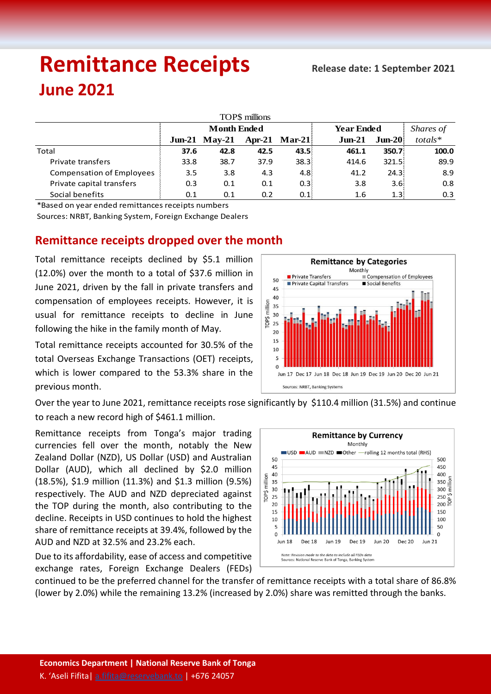# **Remittance Receipts** *Remittance* **Receipts June 2021**

| TOP\$ millions                   |                    |                 |      |                      |                   |                         |           |  |  |  |  |  |
|----------------------------------|--------------------|-----------------|------|----------------------|-------------------|-------------------------|-----------|--|--|--|--|--|
|                                  | <b>Month Ended</b> |                 |      |                      | <b>Year Ended</b> |                         | Shares of |  |  |  |  |  |
|                                  |                    | $Jun-21$ May-21 |      | <b>Apr-21 Mar-21</b> | $J$ un- $21$      | $J$ un-20 $\frac{1}{2}$ | $totals*$ |  |  |  |  |  |
| Total                            | 37.6               | 42.8            | 42.5 | 43.5%                | 461.1             | 350.7                   | 100.0     |  |  |  |  |  |
| Private transfers                | 33.8               | 38.7            | 37.9 | 38.3%                | 414.6             | 321.5:                  | 89.9      |  |  |  |  |  |
| <b>Compensation of Employees</b> | 3.5                | 3.8             | 4.3  | 4.8                  | 41.2              | 24.3:                   | 8.9       |  |  |  |  |  |
| Private capital transfers        | 0.3                | 0.1             | 0.1  | 0.3                  | 3.8               | 3.6 <sup>1</sup>        | 0.8       |  |  |  |  |  |
| Social benefits                  | 0.1                | 0.1             | 0.2  | 0.1                  | 1.6               | 1.3:                    | 0.3       |  |  |  |  |  |

\*Based on year ended remittances receipts numbers

Sources: NRBT, Banking System, Foreign Exchange Dealers

# **Remittance receipts dropped over the month**

Total remittance receipts declined by \$5.1 million (12.0%) over the month to a total of \$37.6 million in June 2021, driven by the fall in private transfers and compensation of employees receipts. However, it is usual for remittance receipts to decline in June following the hike in the family month of May.

Total remittance receipts accounted for 30.5% of the total Overseas Exchange Transactions (OET) receipts, which is lower compared to the 53.3% share in the previous month.



Over the year to June 2021, remittance receipts rose significantly by \$110.4 million (31.5%) and continue to reach a new record high of \$461.1 million.

Remittance receipts from Tonga's major trading currencies fell over the month, notably the New Zealand Dollar (NZD), US Dollar (USD) and Australian Dollar (AUD), which all declined by \$2.0 million (18.5%), \$1.9 million (11.3%) and \$1.3 million (9.5%) respectively. The AUD and NZD depreciated against the TOP during the month, also contributing to the decline. Receipts in USD continues to hold the highest share of remittance receipts at 39.4%, followed by the AUD and NZD at 32.5% and 23.2% each.

Due to its affordability, ease of access and competitive exchange rates, Foreign Exchange Dealers (FEDs)



continued to be the preferred channel for the transfer of remittance receipts with a total share of 86.8% (lower by 2.0%) while the remaining 13.2% (increased by 2.0%) share was remitted through the banks.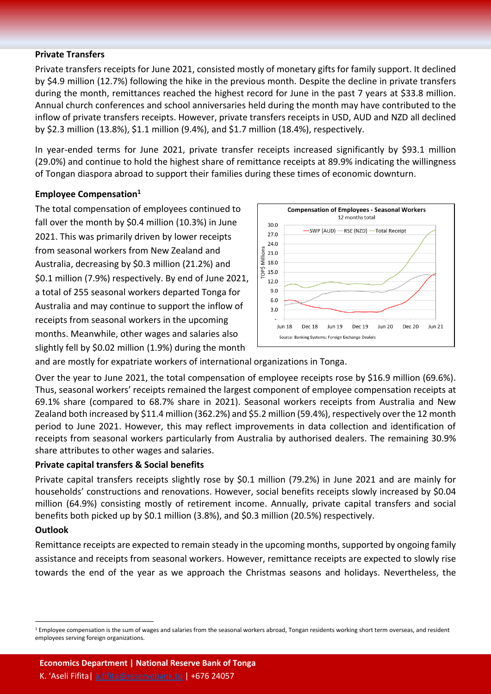#### **Private Transfers**

Private transfers receipts for June 2021, consisted mostly of monetary gifts for family support. It declined by \$4.9 million (12.7%) following the hike in the previous month. Despite the decline in private transfers during the month, remittances reached the highest record for June in the past 7 years at \$33.8 million. Annual church conferences and school anniversaries held during the month may have contributed to the inflow of private transfers receipts. However, private transfers receipts in USD, AUD and NZD all declined by \$2.3 million (13.8%), \$1.1 million (9.4%), and \$1.7 million (18.4%), respectively.

In year-ended terms for June 2021, private transfer receipts increased significantly by \$93.1 million (29.0%) and continue to hold the highest share of remittance receipts at 89.9% indicating the willingness of Tongan diaspora abroad to support their families during these times of economic downturn.

#### **Employee Compensation<sup>1</sup>**

The total compensation of employees continued to fall over the month by \$0.4 million (10.3%) in June 2021. This was primarily driven by lower receipts from seasonal workers from New Zealand and Australia, decreasing by \$0.3 million (21.2%) and \$0.1 million (7.9%) respectively. By end of June 2021, a total of 255 seasonal workers departed Tonga for Australia and may continue to support the inflow of receipts from seasonal workers in the upcoming months. Meanwhile, other wages and salaries also slightly fell by \$0.02 million (1.9%) during the month



and are mostly for expatriate workers of international organizations in Tonga.

Over the year to June 2021, the total compensation of employee receipts rose by \$16.9 million (69.6%). Thus, seasonal workers' receipts remained the largest component of employee compensation receipts at 69.1% share (compared to 68.7% share in 2021). Seasonal workers receipts from Australia and New Zealand both increased by \$11.4 million (362.2%) and \$5.2 million (59.4%), respectively over the 12 month period to June 2021. However, this may reflect improvements in data collection and identification of receipts from seasonal workers particularly from Australia by authorised dealers. The remaining 30.9% share attributes to other wages and salaries.

### **Private capital transfers & Social benefits**

Private capital transfers receipts slightly rose by \$0.1 million (79.2%) in June 2021 and are mainly for households' constructions and renovations. However, social benefits receipts slowly increased by \$0.04 million (64.9%) consisting mostly of retirement income. Annually, private capital transfers and social benefits both picked up by \$0.1 million (3.8%), and \$0.3 million (20.5%) respectively.

#### **Outlook**

 $\ddot{\phantom{a}}$ 

Remittance receipts are expected to remain steady in the upcoming months, supported by ongoing family assistance and receipts from seasonal workers. However, remittance receipts are expected to slowly rise towards the end of the year as we approach the Christmas seasons and holidays. Nevertheless, the

<sup>&</sup>lt;sup>1</sup> Employee compensation is the sum of wages and salaries from the seasonal workers abroad, Tongan residents working short term overseas, and resident employees serving foreign organizations.